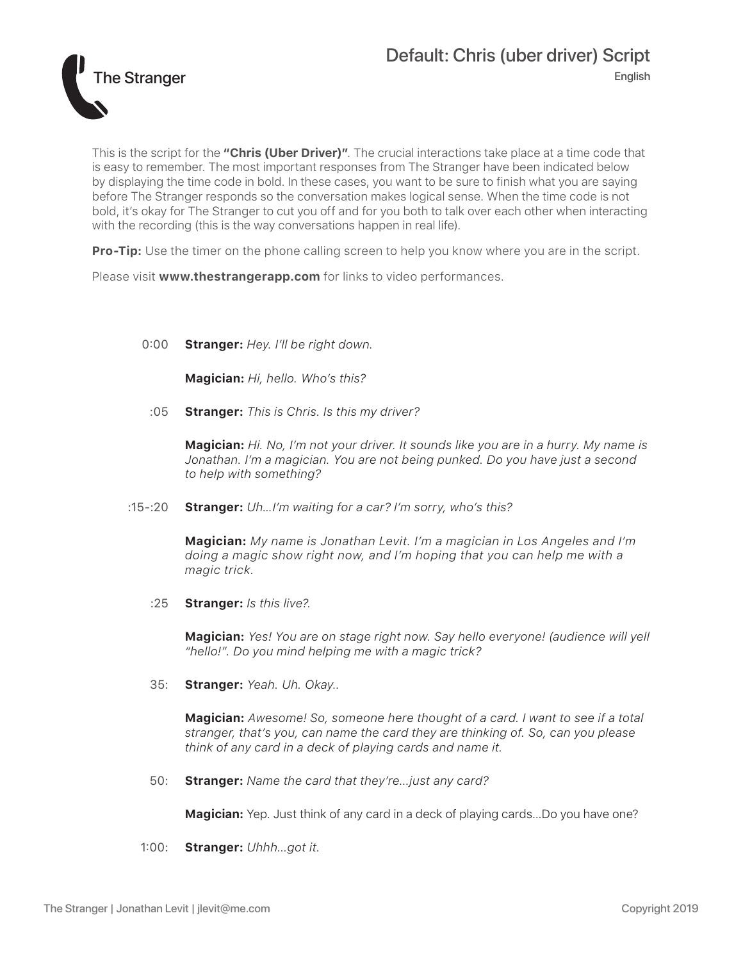

This is the script for the **"Chris (Uber Driver)"**. The crucial interactions take place at a time code that is easy to remember. The most important responses from The Stranger have been indicated below by displaying the time code in bold. In these cases, you want to be sure to finish what you are saying before The Stranger responds so the conversation makes logical sense. When the time code is not bold, it's okay for The Stranger to cut you off and for you both to talk over each other when interacting with the recording (this is the way conversations happen in real life).

**Pro-Tip:** Use the timer on the phone calling screen to help you know where you are in the script.

Please visit **www.thestrangerapp.com** for links to video performances.

## 0:00 **Stranger:** *Hey. I'll be right down.*

**Magician:** *Hi, hello. Who's this?*

:05 **Stranger:** *This is Chris. Is this my driver?*

**Magician:** *Hi. No, I'm not your driver. It sounds like you are in a hurry. My name is Jonathan. I'm a magician. You are not being punked. Do you have just a second to help with something?*

:15-:20 **Stranger:** *Uh…I'm waiting for a car? I'm sorry, who's this?*

**Magician:** *My name is Jonathan Levit. I'm a magician in Los Angeles and I'm doing a magic show right now, and I'm hoping that you can help me with a magic trick.*

:25 **Stranger:** *Is this live?.*

**Magician:** *Yes! You are on stage right now. Say hello everyone! (audience will yell "hello!". Do you mind helping me with a magic trick?* 

35: **Stranger:** *Yeah. Uh. Okay..*

**Magician:** *Awesome! So, someone here thought of a card. I want to see if a total stranger, that's you, can name the card they are thinking of. So, can you please think of any card in a deck of playing cards and name it.* 

50: **Stranger:** *Name the card that they're...just any card?*

**Magician:** Yep. Just think of any card in a deck of playing cards...Do you have one?

1:00: **Stranger:** *Uhhh...got it.*